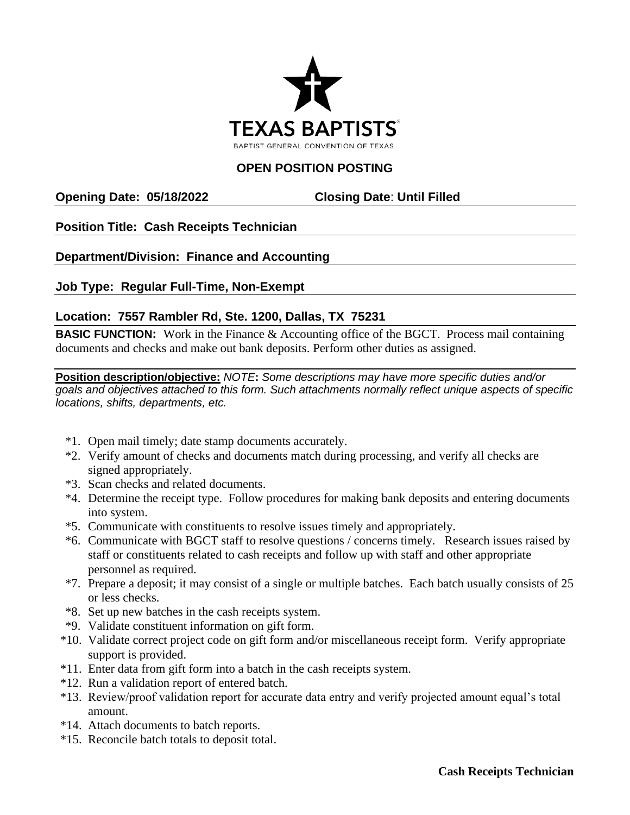

# **OPEN POSITION POSTING**

### **Opening Date: 05/18/2022 Closing Date**: **Until Filled**

# **Position Title: Cash Receipts Technician**

# **Department/Division: Finance and Accounting**

**Job Type: Regular Full-Time, Non-Exempt**

### **Location: 7557 Rambler Rd, Ste. 1200, Dallas, TX 75231**

**BASIC FUNCTION:** Work in the Finance & Accounting office of the BGCT. Process mail containing documents and checks and make out bank deposits. Perform other duties as assigned.

**Position description/objective:** *NOTE***:** *Some descriptions may have more specific duties and/or goals and objectives attached to this form. Such attachments normally reflect unique aspects of specific locations, shifts, departments, etc.* 

- \*1. Open mail timely; date stamp documents accurately.
- \*2. Verify amount of checks and documents match during processing, and verify all checks are signed appropriately.
- \*3. Scan checks and related documents.
- \*4. Determine the receipt type. Follow procedures for making bank deposits and entering documents into system.
- \*5. Communicate with constituents to resolve issues timely and appropriately.
- \*6. Communicate with BGCT staff to resolve questions / concerns timely. Research issues raised by staff or constituents related to cash receipts and follow up with staff and other appropriate personnel as required.
- \*7. Prepare a deposit; it may consist of a single or multiple batches. Each batch usually consists of 25 or less checks.
- \*8. Set up new batches in the cash receipts system.
- \*9. Validate constituent information on gift form.
- \*10. Validate correct project code on gift form and/or miscellaneous receipt form. Verify appropriate support is provided.
- \*11. Enter data from gift form into a batch in the cash receipts system.
- \*12. Run a validation report of entered batch.
- \*13. Review/proof validation report for accurate data entry and verify projected amount equal's total amount.
- \*14. Attach documents to batch reports.
- \*15. Reconcile batch totals to deposit total.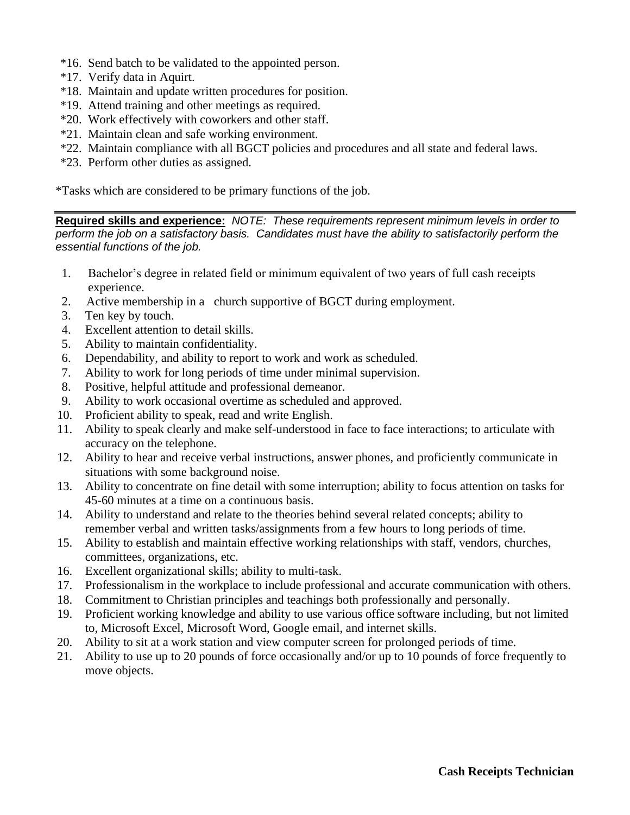- \*16. Send batch to be validated to the appointed person.
- \*17. Verify data in Aquirt.
- \*18. Maintain and update written procedures for position.
- \*19. Attend training and other meetings as required.
- \*20. Work effectively with coworkers and other staff.
- \*21. Maintain clean and safe working environment.
- \*22. Maintain compliance with all BGCT policies and procedures and all state and federal laws.
- \*23. Perform other duties as assigned.

\*Tasks which are considered to be primary functions of the job.

**Required skills and experience:** *NOTE: These requirements represent minimum levels in order to perform the job on a satisfactory basis. Candidates must have the ability to satisfactorily perform the essential functions of the job.*

- 1. Bachelor's degree in related field or minimum equivalent of two years of full cash receipts experience.
- 2. Active membership in a church supportive of BGCT during employment.
- 3. Ten key by touch.
- 4. Excellent attention to detail skills.
- 5. Ability to maintain confidentiality.
- 6. Dependability, and ability to report to work and work as scheduled.
- 7. Ability to work for long periods of time under minimal supervision.
- 8. Positive, helpful attitude and professional demeanor.
- 9. Ability to work occasional overtime as scheduled and approved.
- 10. Proficient ability to speak, read and write English.
- 11. Ability to speak clearly and make self-understood in face to face interactions; to articulate with accuracy on the telephone.
- 12. Ability to hear and receive verbal instructions, answer phones, and proficiently communicate in situations with some background noise.
- 13. Ability to concentrate on fine detail with some interruption; ability to focus attention on tasks for 45-60 minutes at a time on a continuous basis.
- 14. Ability to understand and relate to the theories behind several related concepts; ability to remember verbal and written tasks/assignments from a few hours to long periods of time.
- 15. Ability to establish and maintain effective working relationships with staff, vendors, churches, committees, organizations, etc.
- 16. Excellent organizational skills; ability to multi-task.
- 17. Professionalism in the workplace to include professional and accurate communication with others.
- 18. Commitment to Christian principles and teachings both professionally and personally.
- 19. Proficient working knowledge and ability to use various office software including, but not limited to, Microsoft Excel, Microsoft Word, Google email, and internet skills.
- 20. Ability to sit at a work station and view computer screen for prolonged periods of time.
- 21. Ability to use up to 20 pounds of force occasionally and/or up to 10 pounds of force frequently to move objects.